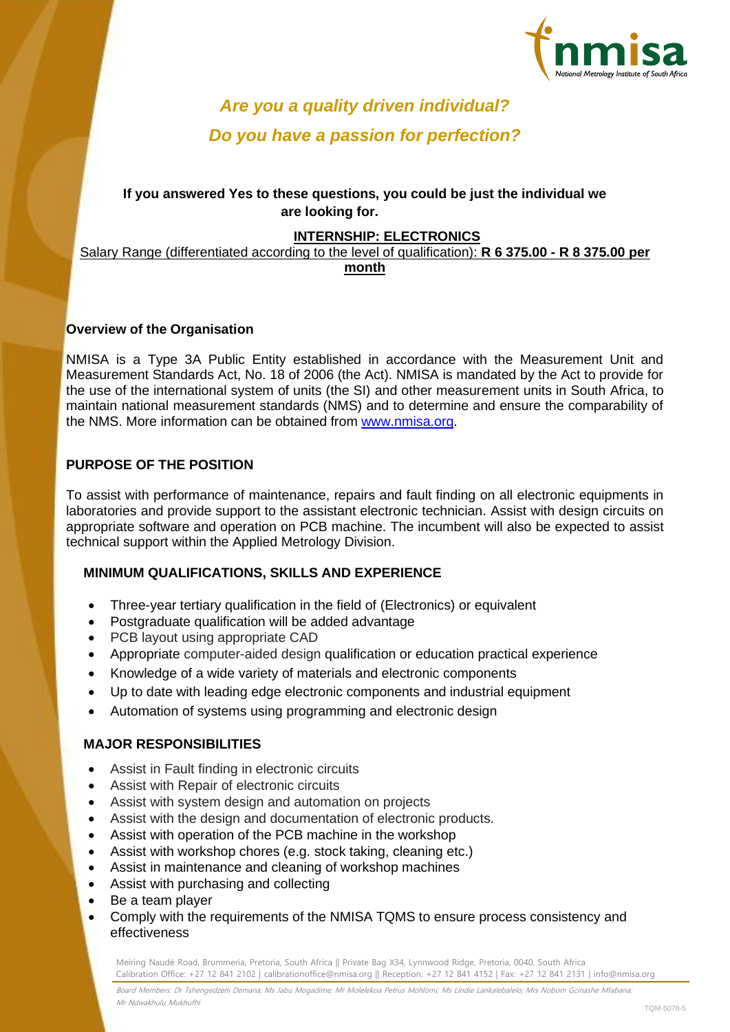

# *Are you a quality driven individual? Do you have a passion for perfection?*

# **If you answered Yes to these questions, you could be just the individual we are looking for.**

## **INTERNSHIP: ELECTRONICS**

Salary Range (differentiated according to the level of qualification): **R 6 375.00 - R 8 375.00 per month**

#### **Overview of the Organisation**

NMISA is a Type 3A Public Entity established in accordance with the Measurement Unit and Measurement Standards Act, No. 18 of 2006 (the Act). NMISA is mandated by the Act to provide for the use of the international system of units (the SI) and other measurement units in South Africa, to maintain national measurement standards (NMS) and to determine and ensure the comparability of the NMS. More information can be obtained from [www.nmisa.org.](http://www.nmisa.org/)

### **PURPOSE OF THE POSITION**

To assist with performance of maintenance, repairs and fault finding on all electronic equipments in laboratories and provide support to the assistant electronic technician. Assist with design circuits on appropriate software and operation on PCB machine. The incumbent will also be expected to assist technical support within the Applied Metrology Division.

### **MINIMUM QUALIFICATIONS, SKILLS AND EXPERIENCE**

- Three-year tertiary qualification in the field of (Electronics) or equivalent
- Postgraduate qualification will be added advantage
- PCB layout using appropriate CAD
- Appropriate computer-aided design qualification or education practical experience
- Knowledge of a wide variety of materials and electronic components
- Up to date with leading edge electronic components and industrial equipment
- Automation of systems using programming and electronic design

### **MAJOR RESPONSIBILITIES**

- Assist in Fault finding in electronic circuits
- Assist with Repair of electronic circuits
- Assist with system design and automation on projects
- Assist with the design and documentation of electronic products.
- Assist with operation of the PCB machine in the workshop
- Assist with workshop chores (e.g. stock taking, cleaning etc.)
- Assist in maintenance and cleaning of workshop machines
- Assist with purchasing and collecting
- Be a team player
- Comply with the requirements of the NMISA TQMS to ensure process consistency and effectiveness

Meiring Naudé Road, Brummeria, Pretoria, South Africa || Private Bag X34, Lynnwood Ridge, Pretoria, 0040, South Africa Calibration Office: +27 12 841 2102 | calibrationoffice@nmisa.org || Reception: +27 12 841 4152 | Fax: +27 12 841 2131 | info@nmisa.org